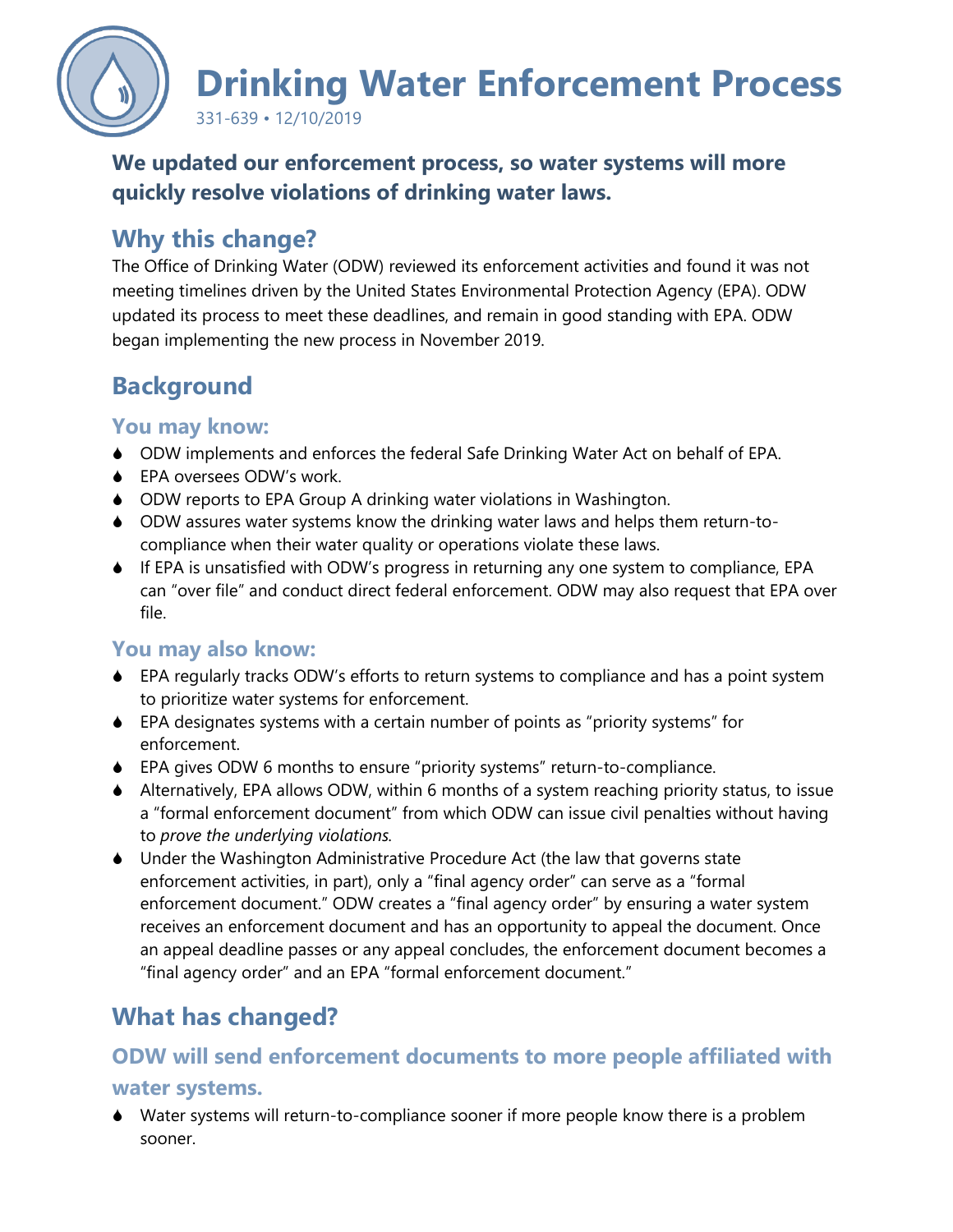

**We updated our enforcement process, so water systems will more quickly resolve violations of drinking water laws.** 

# **Why this change?**

The Office of Drinking Water (ODW) reviewed its enforcement activities and found it was not meeting timelines driven by the United States Environmental Protection Agency (EPA). ODW updated its process to meet these deadlines, and remain in good standing with EPA. ODW began implementing the new process in November 2019.

# **Background**

### **You may know:**

- ODW implements and enforces the federal Safe Drinking Water Act on behalf of EPA.
- ◆ EPA oversees ODW's work.
- ODW reports to EPA Group A drinking water violations in Washington.
- ODW assures water systems know the drinking water laws and helps them return-tocompliance when their water quality or operations violate these laws.
- $\bullet$  If EPA is unsatisfied with ODW's progress in returning any one system to compliance, EPA can "over file" and conduct direct federal enforcement. ODW may also request that EPA over file.

### **You may also know:**

- EPA regularly tracks ODW's efforts to return systems to compliance and has a point system to prioritize water systems for enforcement.
- EPA designates systems with a certain number of points as "priority systems" for enforcement.
- EPA gives ODW 6 months to ensure "priority systems" return-to-compliance.
- Alternatively, EPA allows ODW, within 6 months of a system reaching priority status, to issue a "formal enforcement document" from which ODW can issue civil penalties without having to *prove the underlying violations.*
- Under the Washington Administrative Procedure Act (the law that governs state enforcement activities, in part), only a "final agency order" can serve as a "formal enforcement document." ODW creates a "final agency order" by ensuring a water system receives an enforcement document and has an opportunity to appeal the document. Once an appeal deadline passes or any appeal concludes, the enforcement document becomes a "final agency order" and an EPA "formal enforcement document."

# **What has changed?**

## **ODW will send enforcement documents to more people affiliated with**

#### **water systems.**

 Water systems will return-to-compliance sooner if more people know there is a problem sooner.